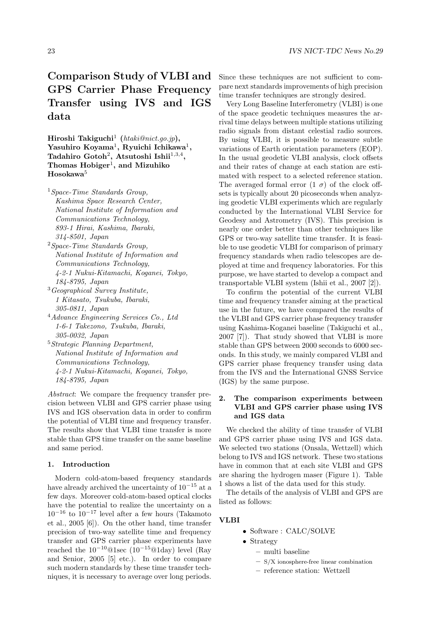# Comparison Study of VLBI and GPS Carrier Phase Frequency Transfer using IVS and IGS data

Hiroshi Takiguchi<sup>1</sup> (htaki@nict.go.jp),  $Y$ asuhiro Koyama<sup>1</sup>, Ryuichi Ichikawa<sup>1</sup>, Tadahiro Gotoh<sup>2</sup>, Atsutoshi Ishii $^{1,3,4}$ , Thomas  $H$ obiger<sup>1</sup>, and Mizuhiko Hosokawa<sup>5</sup>

<sup>1</sup>Space-Time Standards Group, Kashima Space Research Center, National Institute of Information and Communications Technology, 893-1 Hirai, Kashima, Ibaraki, 314-8501, Japan

- <sup>2</sup>Space-Time Standards Group, National Institute of Information and Communications Technology, 4-2-1 Nukui-Kitamachi, Koganei, Tokyo, 184-8795, Japan
- <sup>3</sup>Geographical Survey Institute, 1 Kitasato, Tsukuba, Ibaraki, 305-0811, Japan
- <sup>4</sup>Advance Engineering Services Co., Ltd 1-6-1 Takezono, Tsukuba, Ibaraki, 305-0032, Japan
- <sup>5</sup>Strategic Planning Department, National Institute of Information and Communications Technology, 4-2-1 Nukui-Kitamachi, Koganei, Tokyo, 184-8795, Japan

Abstract: We compare the frequency transfer precision between VLBI and GPS carrier phase using IVS and IGS observation data in order to confirm the potential of VLBI time and frequency transfer. The results show that VLBI time transfer is more stable than GPS time transfer on the same baseline and same period.

#### 1. Introduction

Modern cold-atom-based frequency standards have already archived the uncertainty of  $10^{-15}$  at a few days. Moreover cold-atom-based optical clocks have the potential to realize the uncertainty on a  $10^{-16}$  to  $10^{-17}$  level after a few hours (Takamoto et al., 2005 [6]). On the other hand, time transfer precision of two-way satellite time and frequency transfer and GPS carrier phase experiments have reached the  $10^{-10}$ @1sec ( $10^{-15}$ @1day) level (Ray and Senior, 2005 [5] etc.). In order to compare such modern standards by these time transfer techniques, it is necessary to average over long periods.

Since these techniques are not sufficient to compare next standards improvements of high precision time transfer techniques are strongly desired.

Very Long Baseline Interferometry (VLBI) is one of the space geodetic techniques measures the arrival time delays between multiple stations utilizing radio signals from distant celestial radio sources. By using VLBI, it is possible to measure subtle variations of Earth orientation parameters (EOP). In the usual geodetic VLBI analysis, clock offsets and their rates of change at each station are estimated with respect to a selected reference station. The averaged formal error  $(1 \sigma)$  of the clock offsets is typically about 20 picoseconds when analyzing geodetic VLBI experiments which are regularly conducted by the International VLBI Service for Geodesy and Astrometry (IVS). This precision is nearly one order better than other techniques like GPS or two-way satellite time transfer. It is feasible to use geodetic VLBI for comparison of primary frequency standards when radio telescopes are deployed at time and frequency laboratories. For this purpose, we have started to develop a compact and transportable VLBI system (Ishii et al., 2007 [2]).

To confirm the potential of the current VLBI time and frequency transfer aiming at the practical use in the future, we have compared the results of the VLBI and GPS carrier phase frequency transfer using Kashima-Koganei baseline (Takiguchi et al., 2007 [7]). That study showed that VLBI is more stable than GPS between 2000 seconds to 6000 seconds. In this study, we mainly compared VLBI and GPS carrier phase frequency transfer using data from the IVS and the International GNSS Service (IGS) by the same purpose.

## 2. The comparison experiments between VLBI and GPS carrier phase using IVS and IGS data

We checked the ability of time transfer of VLBI and GPS carrier phase using IVS and IGS data. We selected two stations (Onsala, Wettzell) which belong to IVS and IGS network. These two stations have in common that at each site VLBI and GPS are sharing the hydrogen maser (Figure 1). Table 1 shows a list of the data used for this study.

The details of the analysis of VLBI and GPS are listed as follows:

#### VLBI

- Software : CALC/SOLVE
- Strategy
	- multi baseline
	- S/X ionosphere-free linear combination
	- reference station: Wettzell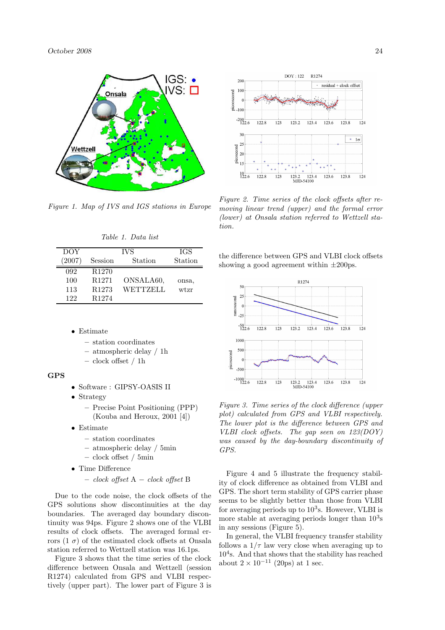

Figure 1. Map of IVS and IGS stations in Europe

| DOY  | <b>IVS</b>        |           | <b>IGS</b> |
|------|-------------------|-----------|------------|
| 2007 | Session           | Station   | Station    |
| 092  | R <sub>1270</sub> |           |            |
| 100  | R <sub>1271</sub> | ONSALA60, | onsa,      |
| 113  | R <sub>1273</sub> | WETTZELL  | wtzr       |
| 122  | R <sub>1274</sub> |           |            |

Table 1. Data list

- Estimate
	- station coordinates
	- atmospheric delay / 1h
	- clock offset / 1h

### GPS

- Software : GIPSY-OASIS II
- Strategy
	- Precise Point Positioning (PPP) (Kouba and Heroux, 2001 [4])
- Estimate
	- station coordinates
	- atmospheric delay / 5min
	- clock offset / 5min
- Time Difference
	- clock offset A − clock offset B

Due to the code noise, the clock offsets of the GPS solutions show discontinuities at the day boundaries. The averaged day boundary discontinuity was 94ps. Figure 2 shows one of the VLBI results of clock offsets. The averaged formal errors  $(1 \sigma)$  of the estimated clock offsets at Onsala station referred to Wettzell station was 16.1ps.

Figure 3 shows that the time series of the clock difference between Onsala and Wettzell (session R1274) calculated from GPS and VLBI respectively (upper part). The lower part of Figure 3 is



Figure 2. Time series of the clock offsets after removing linear trend (upper) and the formal error (lower) at Onsala station referred to Wettzell station.

the difference between GPS and VLBI clock offsets showing a good agreement within  $\pm 200$ ps.



Figure 3. Time series of the clock difference (upper plot) calculated from GPS and VLBI respectively. The lower plot is the difference between GPS and VLBI clock offsets. The gap seen on 123(DOY) was caused by the day-boundary discontinuity of GPS.

Figure 4 and 5 illustrate the frequency stability of clock difference as obtained from VLBI and GPS. The short term stability of GPS carrier phase seems to be slightly better than those from VLBI for averaging periods up to  $10<sup>3</sup>$ s. However, VLBI is more stable at averaging periods longer than  $10<sup>3</sup>$ s in any sessions (Figure 5).

In general, the VLBI frequency transfer stability follows a  $1/\tau$  law very close when averaging up to  $10<sup>4</sup>$ s. And that shows that the stability has reached about  $2 \times 10^{-11}$  (20ps) at 1 sec.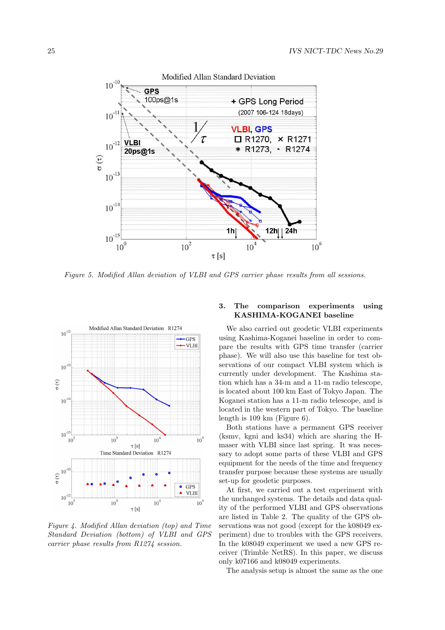

Figure 5. Modified Allan deviation of VLBI and GPS carrier phase results from all sessions.



Figure 4. Modified Allan deviation (top) and Time Standard Deviation (bottom) of VLBI and GPS carrier phase results from R1274 session.

## 3. The comparison experiments using KASHIMA-KOGANEI baseline

We also carried out geodetic VLBI experiments using Kashima-Koganei baseline in order to compare the results with GPS time transfer (carrier phase). We will also use this baseline for test observations of our compact VLBI system which is currently under development. The Kashima station which has a 34-m and a 11-m radio telescope, is located about 100 km East of Tokyo Japan. The Koganei station has a 11-m radio telescope, and is located in the western part of Tokyo. The baseline length is 109 km (Figure 6).

Both stations have a permanent GPS receiver (ksmv, kgni and ks34) which are sharing the Hmaser with VLBI since last spring. It was necessary to adopt some parts of these VLBI and GPS equipment for the needs of the time and frequency transfer purpose because these systems are usually set-up for geodetic purposes.

At first, we carried out a test experiment with the unchanged systems. The details and data quality of the performed VLBI and GPS observations are listed in Table 2. The quality of the GPS observations was not good (except for the k08049 experiment) due to troubles with the GPS receivers. In the k08049 experiment we used a new GPS receiver (Trimble NetRS). In this paper, we discuss only k07166 and k08049 experiments.

The analysis setup is almost the same as the one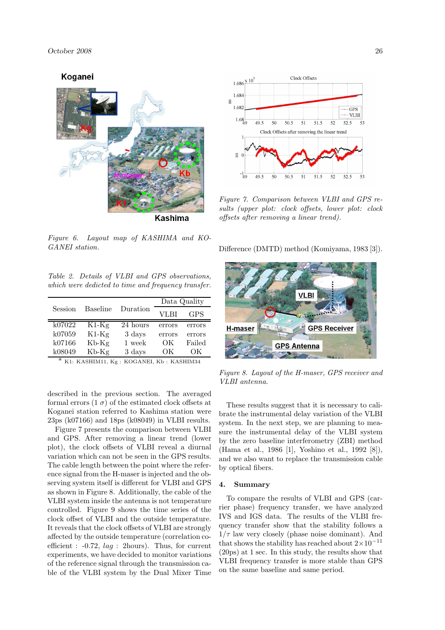



Clock Offsets

 $1.686 \frac{\text{x } 10^2}{ }$ 1.684

Figure 7. Comparison between VLBI and GPS results (upper plot: clock offsets, lower plot: clock offsets after removing a linear trend).

Figure 6. Layout map of KASHIMA and KO-GANEI station.

Table 2. Details of VLBI and GPS observations, which were dedicted to time and frequency transfer.

| Session        | Baseline | Duration | Data Quality |            |
|----------------|----------|----------|--------------|------------|
|                |          |          | VLBI         | <b>GPS</b> |
| k07022         | $K1-Kg$  | 24 hours | errors       | errors     |
| k07059         | $K1-Kg$  | 3 days   | errors       | errors     |
| k07166         | $Kb-Kg$  | 1 week   | OК           | Failed     |
| k08049<br>$-1$ | Kb-Kg    | 3 days   | OК           | OК         |

\* K1: KASHIM11, Kg : KOGANEI, Kb : KASHIM34

described in the previous section. The averaged formal errors  $(1 \sigma)$  of the estimated clock offsets at Koganei station referred to Kashima station were 23ps (k07166) and 18ps (k08049) in VLBI results.

Figure 7 presents the comparison between VLBI and GPS. After removing a linear trend (lower plot), the clock offsets of VLBI reveal a diurnal variation which can not be seen in the GPS results. The cable length between the point where the reference signal from the H-maser is injected and the observing system itself is different for VLBI and GPS as shown in Figure 8. Additionally, the cable of the VLBI system inside the antenna is not temperature controlled. Figure 9 shows the time series of the clock offset of VLBI and the outside temperature. It reveals that the clock offsets of VLBI are strongly affected by the outside temperature (correlation coefficient :  $-0.72$ ,  $laq$  : 2hours). Thus, for current experiments, we have decided to monitor variations of the reference signal through the transmission cable of the VLBI system by the Dual Mixer Time

Difference (DMTD) method (Komiyama, 1983 [3]).



Figure 8. Layout of the H-maser, GPS receiver and VLBI antenna.

These results suggest that it is necessary to calibrate the instrumental delay variation of the VLBI system. In the next step, we are planning to measure the instrumental delay of the VLBI system by the zero baseline interferometry (ZBI) method (Hama et al., 1986 [1], Yoshino et al., 1992 [8]), and we also want to replace the transmission cable by optical fibers.

#### 4. Summary

To compare the results of VLBI and GPS (carrier phase) frequency transfer, we have analyzed IVS and IGS data. The results of the VLBI frequency transfer show that the stability follows a  $1/\tau$  law very closely (phase noise dominant). And that shows the stability has reached about  $2\times10^{-11}$ (20ps) at 1 sec. In this study, the results show that VLBI frequency transfer is more stable than GPS on the same baseline and same period.